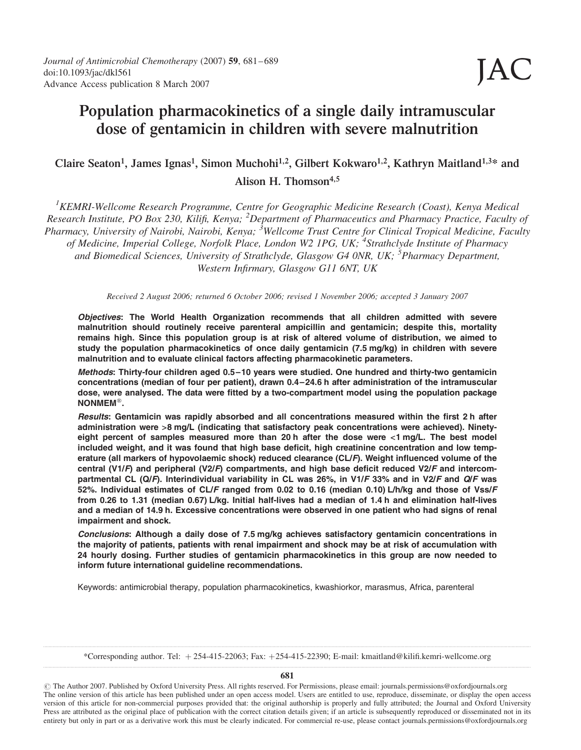# Population pharmacokinetics of a single daily intramuscular dose of gentamicin in children with severe malnutrition

# Claire Seaton<sup>1</sup>, James Ignas<sup>1</sup>, Simon Muchohi<sup>1,2</sup>, Gilbert Kokwaro<sup>1,2</sup>, Kathryn Maitland<sup>1,3\*</sup> and

Alison H. Thomson<sup>4,5</sup>

<sup>1</sup>KEMRI-Wellcome Research Programme, Centre for Geographic Medicine Research (Coast), Kenya Medical Research Institute, PO Box 230, Kilifi, Kenya; <sup>2</sup>Department of Pharmaceutics and Pharmacy Practice, Faculty of Pharmacy, University of Nairobi, Nairobi, Kenya; <sup>3</sup>Wellcome Trust Centre for Clinical Tropical Medicine, Faculty of Medicine, Imperial College, Norfolk Place, London W2 1PG, UK; <sup>4</sup>Strathclyde Institute of Pharmacy and Biomedical Sciences, University of Strathclyde, Glasgow G4 0NR, UK; <sup>5</sup>Pharmacy Department, Western Infirmary, Glasgow G11 6NT, UK

Received 2 August 2006; returned 6 October 2006; revised 1 November 2006; accepted 3 January 2007

Objectives: The World Health Organization recommends that all children admitted with severe malnutrition should routinely receive parenteral ampicillin and gentamicin; despite this, mortality remains high. Since this population group is at risk of altered volume of distribution, we aimed to study the population pharmacokinetics of once daily gentamicin (7.5 mg/kg) in children with severe malnutrition and to evaluate clinical factors affecting pharmacokinetic parameters.

Methods: Thirty-four children aged 0.5–10 years were studied. One hundred and thirty-two gentamicin concentrations (median of four per patient), drawn 0.4–24.6 h after administration of the intramuscular dose, were analysed. The data were fitted by a two-compartment model using the population package **.** 

Results: Gentamicin was rapidly absorbed and all concentrations measured within the first 2 h after administration were >8 mg/L (indicating that satisfactory peak concentrations were achieved). Ninetyeight percent of samples measured more than 20 h after the dose were <1 mg/L. The best model included weight, and it was found that high base deficit, high creatinine concentration and low temperature (all markers of hypovolaemic shock) reduced clearance (CL/F). Weight influenced volume of the central (V1/F) and peripheral (V2/F) compartments, and high base deficit reduced V2/F and intercompartmental CL (Q/F). Interindividual variability in CL was 26%, in V1/F 33% and in V2/F and Q/F was 52%. Individual estimates of CL/F ranged from 0.02 to 0.16 (median 0.10) L/h/kg and those of Vss/F from 0.26 to 1.31 (median 0.67) L/kg. Initial half-lives had a median of 1.4 h and elimination half-lives and a median of 14.9 h. Excessive concentrations were observed in one patient who had signs of renal impairment and shock.

Conclusions: Although a daily dose of 7.5 mg/kg achieves satisfactory gentamicin concentrations in the majority of patients, patients with renal impairment and shock may be at risk of accumulation with 24 hourly dosing. Further studies of gentamicin pharmacokinetics in this group are now needed to inform future international guideline recommendations.

Keywords: antimicrobial therapy, population pharmacokinetics, kwashiorkor, marasmus, Africa, parenteral

\*Corresponding author. Tel: þ 254-415-22063; Fax: þ254-415-22390; E-mail: kmaitland@kilifi.kemri-wellcome.org

681

# The Author 2007. Published by Oxford University Press. All rights reserved. For Permissions, please email: journals.permissions@oxfordjournals.org The online version of this article has been published under an open access model. Users are entitled to use, reproduce, disseminate, or display the open access version of this article for non-commercial purposes provided that: the original authorship is properly and fully attributed; the Journal and Oxford University Press are attributed as the original place of publication with the correct citation details given; if an article is subsequently reproduced or disseminated not in its entirety but only in part or as a derivative work this must be clearly indicated. For commercial re-use, please contact journals.permissions@oxfordjournals.org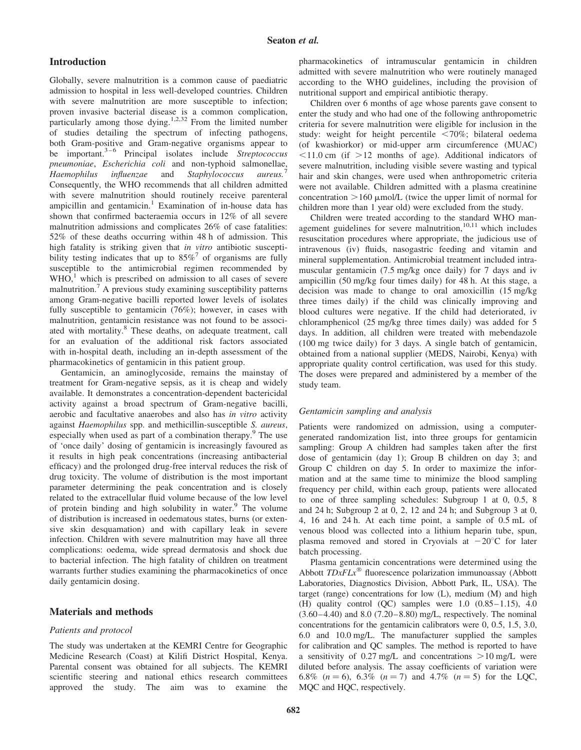### Introduction

Globally, severe malnutrition is a common cause of paediatric admission to hospital in less well-developed countries. Children with severe malnutrition are more susceptible to infection; proven invasive bacterial disease is a common complication, particularly among those dying.<sup>1,2,32</sup> From the limited number of studies detailing the spectrum of infecting pathogens, both Gram-positive and Gram-negative organisms appear to be important. $3-6$  Principal isolates include Streptococcus pneumoniae, Escherichia coli and non-typhoid salmonellae, Haemophilus influenzae and Staphylococcus aureus. Consequently, the WHO recommends that all children admitted with severe malnutrition should routinely receive parenteral ampicillin and gentamicin.<sup>1</sup> Examination of in-house data has shown that confirmed bacteraemia occurs in 12% of all severe malnutrition admissions and complicates 26% of case fatalities: 52% of these deaths occurring within 48 h of admission. This high fatality is striking given that in vitro antibiotic susceptibility testing indicates that up to  $85\%$ <sup>7</sup> of organisms are fully susceptible to the antimicrobial regimen recommended by  $WHO<sup>1</sup>$ , which is prescribed on admission to all cases of severe malnutrition.<sup>7</sup> A previous study examining susceptibility patterns among Gram-negative bacilli reported lower levels of isolates fully susceptible to gentamicin (76%); however, in cases with malnutrition, gentamicin resistance was not found to be associated with mortality.<sup>8</sup> These deaths, on adequate treatment, call for an evaluation of the additional risk factors associated with in-hospital death, including an in-depth assessment of the pharmacokinetics of gentamicin in this patient group.

Gentamicin, an aminoglycoside, remains the mainstay of treatment for Gram-negative sepsis, as it is cheap and widely available. It demonstrates a concentration-dependent bactericidal activity against a broad spectrum of Gram-negative bacilli, aerobic and facultative anaerobes and also has in vitro activity against Haemophilus spp. and methicillin-susceptible S. aureus, especially when used as part of a combination therapy.<sup>9</sup> The use of 'once daily' dosing of gentamicin is increasingly favoured as it results in high peak concentrations (increasing antibacterial efficacy) and the prolonged drug-free interval reduces the risk of drug toxicity. The volume of distribution is the most important parameter determining the peak concentration and is closely related to the extracellular fluid volume because of the low level of protein binding and high solubility in water.<sup>9</sup> The volume of distribution is increased in oedematous states, burns (or extensive skin desquamation) and with capillary leak in severe infection. Children with severe malnutrition may have all three complications: oedema, wide spread dermatosis and shock due to bacterial infection. The high fatality of children on treatment warrants further studies examining the pharmacokinetics of once daily gentamicin dosing.

#### Materials and methods

#### Patients and protocol

The study was undertaken at the KEMRI Centre for Geographic Medicine Research (Coast) at Kilifi District Hospital, Kenya. Parental consent was obtained for all subjects. The KEMRI scientific steering and national ethics research committees approved the study. The aim was to examine the pharmacokinetics of intramuscular gentamicin in children admitted with severe malnutrition who were routinely managed according to the WHO guidelines, including the provision of nutritional support and empirical antibiotic therapy.

Children over 6 months of age whose parents gave consent to enter the study and who had one of the following anthropometric criteria for severe malnutrition were eligible for inclusion in the study: weight for height percentile  $\langle 70\%;$  bilateral oedema (of kwashiorkor) or mid-upper arm circumference (MUAC)  $\leq$ 11.0 cm (if  $>$ 12 months of age). Additional indicators of severe malnutrition, including visible severe wasting and typical hair and skin changes, were used when anthropometric criteria were not available. Children admitted with a plasma creatinine concentration  $>160$  µmol/L (twice the upper limit of normal for children more than 1 year old) were excluded from the study.

Children were treated according to the standard WHO management guidelines for severe malnutrition, $10,11$  which includes resuscitation procedures where appropriate, the judicious use of intravenous (iv) fluids, nasogastric feeding and vitamin and mineral supplementation. Antimicrobial treatment included intramuscular gentamicin (7.5 mg/kg once daily) for 7 days and iv ampicillin (50 mg/kg four times daily) for 48 h. At this stage, a decision was made to change to oral amoxicillin (15 mg/kg three times daily) if the child was clinically improving and blood cultures were negative. If the child had deteriorated, iv chloramphenicol (25 mg/kg three times daily) was added for 5 days. In addition, all children were treated with mebendazole (100 mg twice daily) for 3 days. A single batch of gentamicin, obtained from a national supplier (MEDS, Nairobi, Kenya) with appropriate quality control certification, was used for this study. The doses were prepared and administered by a member of the study team.

#### Gentamicin sampling and analysis

Patients were randomized on admission, using a computergenerated randomization list, into three groups for gentamicin sampling: Group A children had samples taken after the first dose of gentamicin (day 1); Group B children on day 3; and Group C children on day 5. In order to maximize the information and at the same time to minimize the blood sampling frequency per child, within each group, patients were allocated to one of three sampling schedules: Subgroup 1 at 0, 0.5, 8 and 24 h; Subgroup 2 at 0, 2, 12 and 24 h; and Subgroup 3 at 0, 4, 16 and 24 h. At each time point, a sample of 0.5 mL of venous blood was collected into a lithium heparin tube, spun, plasma removed and stored in Cryovials at  $-20^{\circ}$ C for later batch processing.

Plasma gentamicin concentrations were determined using the Abbott  $TDxFLx^{\circledast}$  fluorescence polarization immunoassay (Abbott Laboratories, Diagnostics Division, Abbott Park, IL, USA). The target (range) concentrations for low (L), medium (M) and high (H) quality control (QC) samples were 1.0 (0.85–1.15), 4.0 (3.60–4.40) and 8.0 (7.20–8.80) mg/L, respectively. The nominal concentrations for the gentamicin calibrators were 0, 0.5, 1.5, 3.0, 6.0 and 10.0 mg/L. The manufacturer supplied the samples for calibration and QC samples. The method is reported to have a sensitivity of 0.27 mg/L and concentrations  $>10$  mg/L were diluted before analysis. The assay coefficients of variation were 6.8%  $(n = 6)$ , 6.3%  $(n = 7)$  and 4.7%  $(n = 5)$  for the LQC, MQC and HQC, respectively.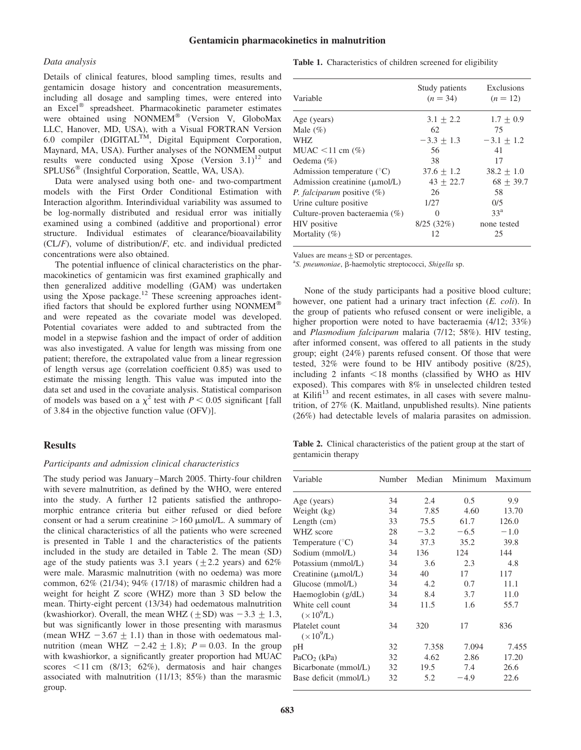# Gentamicin pharmacokinetics in malnutrition

#### Data analysis

Details of clinical features, blood sampling times, results and gentamicin dosage history and concentration measurements, including all dosage and sampling times, were entered into an Excel<sup>®</sup> spreadsheet. Pharmacokinetic parameter estimates were obtained using NONMEM® (Version V, GloboMax LLC, Hanover, MD, USA), with a Visual FORTRAN Version 6.0 compiler (DIGITAL<sup>TM</sup>, Digital Equipment Corporation, Maynard, MA, USA). Further analyses of the NONMEM output results were conducted using Xpose (Version  $3.1$ )<sup>12</sup> and SPLUS6<sup>®</sup> (Insightful Corporation, Seattle, WA, USA).

Data were analysed using both one- and two-compartment models with the First Order Conditional Estimation with Interaction algorithm. Interindividual variability was assumed to be log-normally distributed and residual error was initially examined using a combined (additive and proportional) error structure. Individual estimates of clearance/bioavailability  $(CL/F)$ , volume of distribution/F, etc. and individual predicted concentrations were also obtained.

The potential influence of clinical characteristics on the pharmacokinetics of gentamicin was first examined graphically and then generalized additive modelling (GAM) was undertaken using the Xpose package.<sup>12</sup> These screening approaches identified factors that should be explored further using NONMEM<sup>®</sup> and were repeated as the covariate model was developed. Potential covariates were added to and subtracted from the model in a stepwise fashion and the impact of order of addition was also investigated. A value for length was missing from one patient; therefore, the extrapolated value from a linear regression of length versus age (correlation coefficient 0.85) was used to estimate the missing length. This value was imputed into the data set and used in the covariate analysis. Statistical comparison of models was based on a  $\chi^2$  test with  $P < 0.05$  significant [fall of 3.84 in the objective function value (OFV)].

# **Results**

#### Participants and admission clinical characteristics

The study period was January –March 2005. Thirty-four children with severe malnutrition, as defined by the WHO, were entered into the study. A further 12 patients satisfied the anthropomorphic entrance criteria but either refused or died before consent or had a serum creatinine  $>160$  µmol/L. A summary of the clinical characteristics of all the patients who were screened is presented in Table 1 and the characteristics of the patients included in the study are detailed in Table 2. The mean (SD) age of the study patients was 3.1 years  $(+2.2 \text{ years})$  and  $62\%$ were male. Marasmic malnutrition (with no oedema) was more common, 62% (21/34); 94% (17/18) of marasmic children had a weight for height Z score (WHZ) more than 3 SD below the mean. Thirty-eight percent (13/34) had oedematous malnutrition (kwashiorkor). Overall, the mean WHZ ( $\pm$ SD) was  $-3.3 \pm 1.3$ , but was significantly lower in those presenting with marasmus (mean WHZ  $-3.67 + 1.1$ ) than in those with oedematous malnutrition (mean WHZ  $-2.42 \pm 1.8$ );  $P = 0.03$ . In the group with kwashiorkor, a significantly greater proportion had MUAC scores  $\leq$ 11 cm (8/13; 62%), dermatosis and hair changes associated with malnutrition (11/13; 85%) than the marasmic group.

| Table 1. Characteristics of children screened for eligibility |  |
|---------------------------------------------------------------|--|
|---------------------------------------------------------------|--|

| Variable                                  | Study patients<br>$(n = 34)$ | Exclusions<br>$(n = 12)$ |
|-------------------------------------------|------------------------------|--------------------------|
| Age (years)                               | $3.1 \pm 2.2$                | $1.7 + 0.9$              |
| Male $(\% )$                              | 62                           | 75                       |
| WHZ.                                      | $-3.3 + 1.3$                 | $-3.1 \pm 1.2$           |
| MUAC $\leq$ 11 cm $(\%)$                  | 56                           | 41                       |
| Oedema $(\% )$                            | 38                           | 17                       |
| Admission temperature $(^{\circ}C)$       | $37.6 + 1.2$                 | $38.2 \pm 1.0$           |
| Admission creatinine $(\mu \text{mol/L})$ | $43 + 22.7$                  | $68 + 39.7$              |
| <i>P. falciparum</i> positive $(\%)$      | 26                           | 58                       |
| Urine culture positive                    | 1/27                         | 0/5                      |
| Culture-proven bacteraemia (%)            | 0                            | $33^a$                   |
| HIV positive                              | 8/25(32%)                    | none tested              |
| Mortality $(\%)$                          | 12                           | 25                       |

Values are means  $+$  SD or percentages.

<sup>a</sup>S. pneumoniae, β-haemolytic streptococci, Shigella sp.

None of the study participants had a positive blood culture; however, one patient had a urinary tract infection (*E. coli*). In the group of patients who refused consent or were ineligible, a higher proportion were noted to have bacteraemia  $(4/12; 33\%)$ and Plasmodium falciparum malaria (7/12; 58%). HIV testing, after informed consent, was offered to all patients in the study group; eight (24%) parents refused consent. Of those that were tested, 32% were found to be HIV antibody positive (8/25), including 2 infants  $\leq 18$  months (classified by WHO as HIV exposed). This compares with 8% in unselected children tested at Kilifi<sup>13</sup> and recent estimates, in all cases with severe malnutrition, of 27% (K. Maitland, unpublished results). Nine patients (26%) had detectable levels of malaria parasites on admission.

Table 2. Clinical characteristics of the patient group at the start of gentamicin therapy

| Variable                               | Number | Median | Minimum | Maximum |  |
|----------------------------------------|--------|--------|---------|---------|--|
| Age (years)                            | 34     | 2.4    | 0.5     | 9.9     |  |
| Weight (kg)                            | 34     | 7.85   | 4.60    | 13.70   |  |
| Length $(cm)$                          | 33     | 75.5   | 61.7    | 126.0   |  |
| WHZ score                              | 28     | $-3.2$ | $-6.5$  | $-1.0$  |  |
| Temperature $(^{\circ}C)$              | 34     | 37.3   | 35.2    | 39.8    |  |
| Sodium (mmol/L)                        | 34     | 136    | 124     | 144     |  |
| Potassium (mmol/L)                     | 34     | 3.6    | 2.3     | 4.8     |  |
| Creatinine $(\mu \text{mol/L})$        | 34     | 40     | 17      | 117     |  |
| Glucose (mmol/L)                       | 34     | 4.2    | 0.7     | 11.1    |  |
| Haemoglobin $(g/dL)$                   | 34     | 8.4    | 3.7     | 11.0    |  |
| White cell count<br>$(\times 10^9$ /L) | 34     | 11.5   | 1.6     | 55.7    |  |
| Platelet count<br>$(\times 10^9$ /L)   | 34     | 320    | 17      | 836     |  |
| pH                                     | 32     | 7.358  | 7.094   | 7.455   |  |
| PaCO <sub>2</sub> ( $kPa$ )            | 32     | 4.62   | 2.86    | 17.20   |  |
| Bicarbonate (mmol/L)                   | 32     | 19.5   | 7.4     | 26.6    |  |
| Base deficit (mmol/L)                  | 32     | 5.2    | $-4.9$  | 22.6    |  |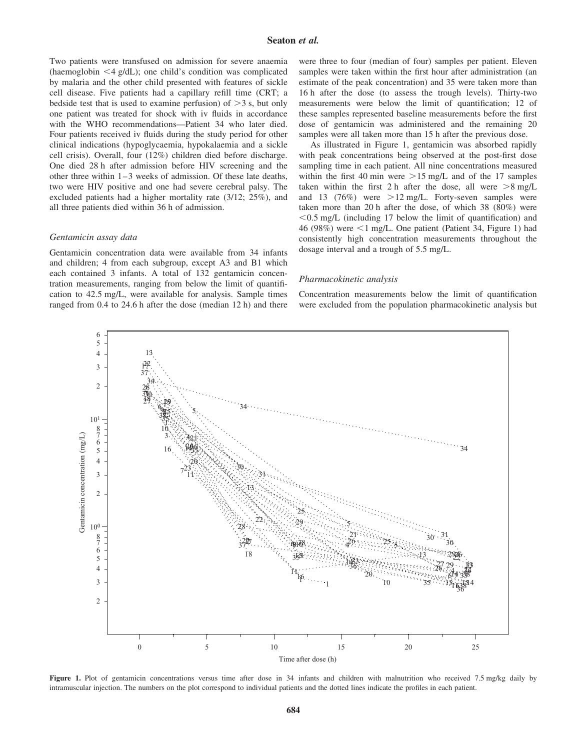Two patients were transfused on admission for severe anaemia (haemoglobin  $\leq 4$  g/dL); one child's condition was complicated by malaria and the other child presented with features of sickle cell disease. Five patients had a capillary refill time (CRT; a bedside test that is used to examine perfusion) of  $>$ 3 s, but only one patient was treated for shock with iv fluids in accordance with the WHO recommendations—Patient 34 who later died. Four patients received iv fluids during the study period for other clinical indications (hypoglycaemia, hypokalaemia and a sickle cell crisis). Overall, four (12%) children died before discharge. One died 28 h after admission before HIV screening and the other three within 1– 3 weeks of admission. Of these late deaths, two were HIV positive and one had severe cerebral palsy. The excluded patients had a higher mortality rate (3/12; 25%), and all three patients died within 36 h of admission.

#### Gentamicin assay data

Gentamicin concentration data were available from 34 infants and children; 4 from each subgroup, except A3 and B1 which each contained 3 infants. A total of 132 gentamicin concentration measurements, ranging from below the limit of quantification to 42.5 mg/L, were available for analysis. Sample times ranged from 0.4 to 24.6 h after the dose (median 12 h) and there

were three to four (median of four) samples per patient. Eleven samples were taken within the first hour after administration (an estimate of the peak concentration) and 35 were taken more than 16 h after the dose (to assess the trough levels). Thirty-two measurements were below the limit of quantification; 12 of these samples represented baseline measurements before the first dose of gentamicin was administered and the remaining 20 samples were all taken more than 15 h after the previous dose.

As illustrated in Figure 1, gentamicin was absorbed rapidly with peak concentrations being observed at the post-first dose sampling time in each patient. All nine concentrations measured within the first 40 min were  $>15$  mg/L and of the 17 samples taken within the first 2 h after the dose, all were  $>8$  mg/L and 13 (76%) were  $>12 \text{ mg/L}$ . Forty-seven samples were taken more than 20 h after the dose, of which 38 (80%) were  $< 0.5$  mg/L (including 17 below the limit of quantification) and 46 (98%) were  $\leq 1$  mg/L. One patient (Patient 34, Figure 1) had consistently high concentration measurements throughout the dosage interval and a trough of 5.5 mg/L.

#### Pharmacokinetic analysis

Concentration measurements below the limit of quantification were excluded from the population pharmacokinetic analysis but



Figure 1. Plot of gentamicin concentrations versus time after dose in 34 infants and children with malnutrition who received 7.5 mg/kg daily by intramuscular injection. The numbers on the plot correspond to individual patients and the dotted lines indicate the profiles in each patient.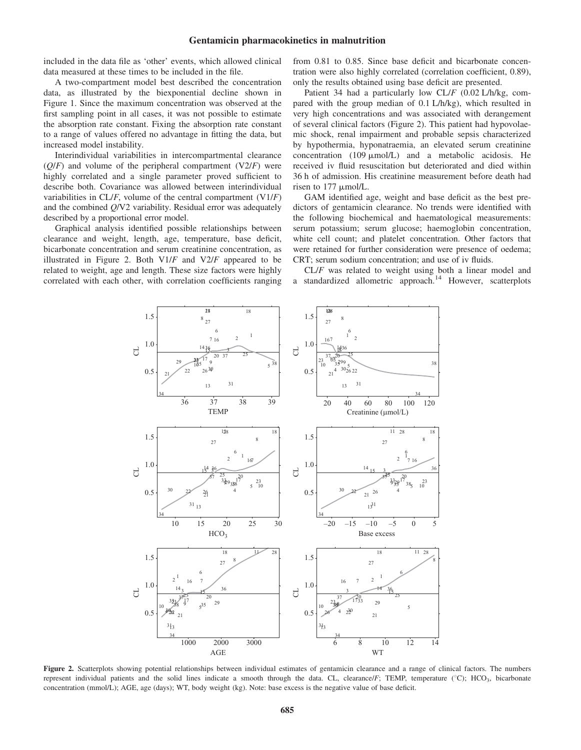# Gentamicin pharmacokinetics in malnutrition

included in the data file as 'other' events, which allowed clinical data measured at these times to be included in the file.

A two-compartment model best described the concentration data, as illustrated by the biexponential decline shown in Figure 1. Since the maximum concentration was observed at the first sampling point in all cases, it was not possible to estimate the absorption rate constant. Fixing the absorption rate constant to a range of values offered no advantage in fitting the data, but increased model instability.

Interindividual variabilities in intercompartmental clearance  $(Q/F)$  and volume of the peripheral compartment  $(V2/F)$  were highly correlated and a single parameter proved sufficient to describe both. Covariance was allowed between interindividual variabilities in  $CL/F$ , volume of the central compartment  $(V1/F)$ and the combined Q/V2 variability. Residual error was adequately described by a proportional error model.

Graphical analysis identified possible relationships between clearance and weight, length, age, temperature, base deficit, bicarbonate concentration and serum creatinine concentration, as illustrated in Figure 2. Both  $V1/F$  and  $V2/F$  appeared to be related to weight, age and length. These size factors were highly correlated with each other, with correlation coefficients ranging from 0.81 to 0.85. Since base deficit and bicarbonate concentration were also highly correlated (correlation coefficient, 0.89), only the results obtained using base deficit are presented.

Patient 34 had a particularly low CL/F (0.02 L/h/kg, compared with the group median of 0.1 L/h/kg), which resulted in very high concentrations and was associated with derangement of several clinical factors (Figure 2). This patient had hypovolaemic shock, renal impairment and probable sepsis characterized by hypothermia, hyponatraemia, an elevated serum creatinine concentration (109  $\mu$ mol/L) and a metabolic acidosis. He received iv fluid resuscitation but deteriorated and died within 36 h of admission. His creatinine measurement before death had risen to 177  $\mu$ mol/L.

GAM identified age, weight and base deficit as the best predictors of gentamicin clearance. No trends were identified with the following biochemical and haematological measurements: serum potassium; serum glucose; haemoglobin concentration, white cell count; and platelet concentration. Other factors that were retained for further consideration were presence of oedema; CRT; serum sodium concentration; and use of iv fluids.

CL/F was related to weight using both a linear model and a standardized allometric approach.<sup>14</sup> However, scatterplots



Figure 2. Scatterplots showing potential relationships between individual estimates of gentamicin clearance and a range of clinical factors. The numbers represent individual patients and the solid lines indicate a smooth through the data. CL, clearance/ $F$ ; TEMP, temperature ( $^{\circ}$ C); HCO<sub>3</sub>, bicarbonate concentration (mmol/L); AGE, age (days); WT, body weight (kg). Note: base excess is the negative value of base deficit.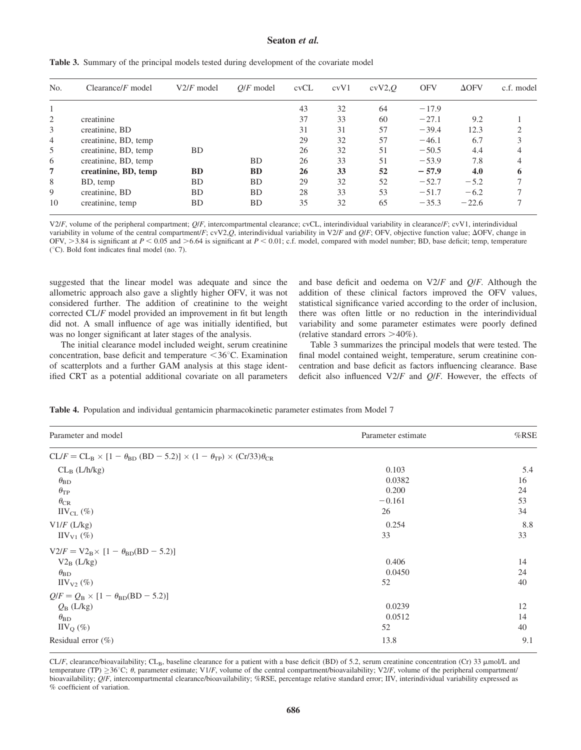# Seaton et al.

| No.            | Clearance/ $F$ model | $V2/F$ model | $O/F$ model | cvCL | cvV1 | cvV2,Q | <b>OFV</b> | $\Delta$ OFV | c.f. model |
|----------------|----------------------|--------------|-------------|------|------|--------|------------|--------------|------------|
|                |                      |              |             | 43   | 32   | 64     | $-17.9$    |              |            |
| 2              | creatinine           |              |             | 37   | 33   | 60     | $-27.1$    | 9.2          |            |
| 3              | creatinine, BD       |              |             | 31   | 31   | 57     | $-39.4$    | 12.3         |            |
| $\overline{4}$ | creatinine, BD, temp |              |             | 29   | 32   | 57     | $-46.1$    | 6.7          |            |
| 5              | creatinine, BD, temp | <b>BD</b>    |             | 26   | 32   | 51     | $-50.5$    | 4.4          |            |
| 6              | creatinine, BD, temp |              | <b>BD</b>   | 26   | 33   | 51     | $-53.9$    | 7.8          |            |
| 7              | creatinine, BD, temp | <b>BD</b>    | <b>BD</b>   | 26   | 33   | 52     | $-57.9$    | 4.0          | ō          |
| 8              | BD, temp             | <b>BD</b>    | <b>BD</b>   | 29   | 32   | 52     | $-52.7$    | $-5.2$       |            |
| 9              | creatinine, BD       | <b>BD</b>    | <b>BD</b>   | 28   | 33   | 53     | $-51.7$    | $-6.2$       |            |
| 10             | creatinine, temp     | <b>BD</b>    | <b>BD</b>   | 35   | 32   | 65     | $-35.3$    | $-22.6$      |            |

Table 3. Summary of the principal models tested during development of the covariate model

V2/F, volume of the peripheral compartment;  $Q/F$ , intercompartmental clearance; cvCL, interindividual variability in clearance/F; cvV1, interindividual variability in volume of the central compartment/F; cvV2,Q, interindividual variability in V2/F and Q/F; OFV, objective function value;  $\Delta$ OFV, change in OFV,  $>3.84$  is significant at  $P < 0.05$  and  $>6.64$  is significant at  $P < 0.01$ ; c.f. model, compared with model number; BD, base deficit; temp, temperature  $(°C)$ . Bold font indicates final model (no. 7).

suggested that the linear model was adequate and since the allometric approach also gave a slightly higher OFV, it was not considered further. The addition of creatinine to the weight corrected CL/F model provided an improvement in fit but length did not. A small influence of age was initially identified, but was no longer significant at later stages of the analysis.

The initial clearance model included weight, serum creatinine concentration, base deficit and temperature  $\leq 36^{\circ}$ C. Examination of scatterplots and a further GAM analysis at this stage identified CRT as a potential additional covariate on all parameters

and base deficit and oedema on V2/F and Q/F. Although the addition of these clinical factors improved the OFV values, statistical significance varied according to the order of inclusion, there was often little or no reduction in the interindividual variability and some parameter estimates were poorly defined (relative standard errors  $>40\%$ ).

Table 3 summarizes the principal models that were tested. The final model contained weight, temperature, serum creatinine concentration and base deficit as factors influencing clearance. Base deficit also influenced  $V2/F$  and  $Q/F$ . However, the effects of

| Parameter and model                                                                                                                  | Parameter estimate     | %RSE           |
|--------------------------------------------------------------------------------------------------------------------------------------|------------------------|----------------|
| $CL/F = CL_B \times [1 - \theta_{BD} (BD - 5.2)] \times (1 - \theta_{TP}) \times (Cr/33)\theta_{CR}$                                 |                        |                |
| $CL_B$ ( $L/h/kg$ )<br>$\theta_{\rm BD}$                                                                                             | 0.103<br>0.0382        | 5.4<br>16      |
| $\theta_{TP}$                                                                                                                        | 0.200                  | 24             |
| $\theta_{\rm CR}$<br>$\text{HV}_{\text{CL}}(\%)$                                                                                     | $-0.161$<br>26         | 53<br>34       |
| $V1/F$ (L/kg)<br>$\text{IIV}_{\text{V1}}$ (%)                                                                                        | 0.254<br>33            | 8.8<br>33      |
| $V2/F = V2_B \times [1 - \theta_{BD}(BD - 5.2)]$<br>$V2_B$ (L/kg)<br>$\theta_{\rm BD}$<br>$\text{IIV}_{\text{V2}}$ (%)               | 0.406<br>0.0450<br>52  | 14<br>24<br>40 |
| $Q/F = Q_{\rm B} \times [1 - \theta_{\rm BD}(\rm BD - 5.2)]$<br>$Q_{\rm B}$ (L/kg)<br>$\theta_{\rm BD}$<br>$\text{IIV}_\text{O}(\%)$ | 0.0239<br>0.0512<br>52 | 12<br>14<br>40 |
| Residual error $(\%)$                                                                                                                | 13.8                   | 9.1            |

 $CL/F$ , clearance/bioavailability;  $CL<sub>B</sub>$ , baseline clearance for a patient with a base deficit (BD) of 5.2, serum creatinine concentration (Cr) 33  $\mu$ mol/L and temperature (TP)  $\geq$ 36°C;  $\theta$ , parameter estimate; V1/F, volume of the central compartment/bioavailability; V2/F, volume of the peripheral compartment/ bioavailability; Q/F, intercompartmental clearance/bioavailability; %RSE, percentage relative standard error; IIV, interindividual variability expressed as % coefficient of variation.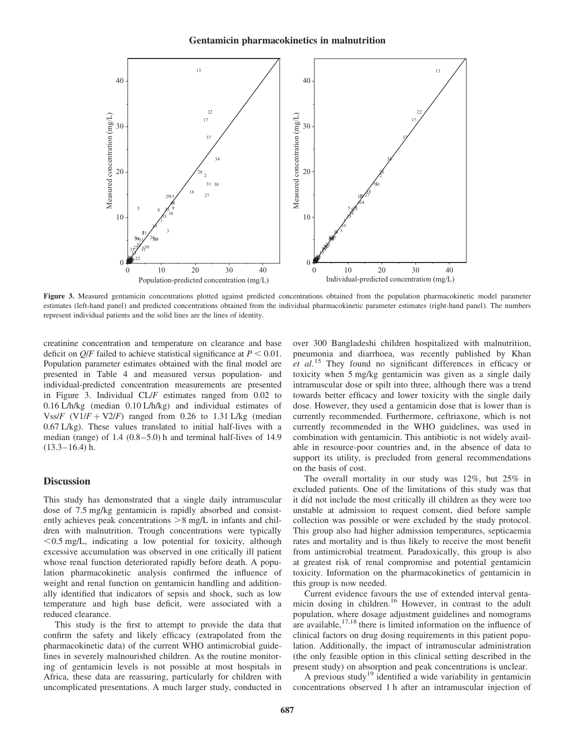

Figure 3. Measured gentamicin concentrations plotted against predicted concentrations obtained from the population pharmacokinetic model parameter estimates (left-hand panel) and predicted concentrations obtained from the individual pharmacokinetic parameter estimates (right-hand panel). The numbers represent individual patients and the solid lines are the lines of identity.

creatinine concentration and temperature on clearance and base deficit on  $Q/F$  failed to achieve statistical significance at  $P < 0.01$ . Population parameter estimates obtained with the final model are presented in Table 4 and measured versus population- and individual-predicted concentration measurements are presented in Figure 3. Individual CL/F estimates ranged from 0.02 to 0.16 L/h/kg (median 0.10 L/h/kg) and individual estimates of Vss/F (V1/F + V2/F) ranged from 0.26 to 1.31 L/kg (median 0.67 L/kg). These values translated to initial half-lives with a median (range) of 1.4 (0.8–5.0) h and terminal half-lives of 14.9  $(13.3-16.4)$  h.

# **Discussion**

This study has demonstrated that a single daily intramuscular dose of 7.5 mg/kg gentamicin is rapidly absorbed and consistently achieves peak concentrations  $>8$  mg/L in infants and children with malnutrition. Trough concentrations were typically  $<$  0.5 mg/L, indicating a low potential for toxicity, although excessive accumulation was observed in one critically ill patient whose renal function deteriorated rapidly before death. A population pharmacokinetic analysis confirmed the influence of weight and renal function on gentamicin handling and additionally identified that indicators of sepsis and shock, such as low temperature and high base deficit, were associated with a reduced clearance.

This study is the first to attempt to provide the data that confirm the safety and likely efficacy (extrapolated from the pharmacokinetic data) of the current WHO antimicrobial guidelines in severely malnourished children. As the routine monitoring of gentamicin levels is not possible at most hospitals in Africa, these data are reassuring, particularly for children with uncomplicated presentations. A much larger study, conducted in over 300 Bangladeshi children hospitalized with malnutrition, pneumonia and diarrhoea, was recently published by Khan  $et$  al.<sup>15</sup> They found no significant differences in efficacy or toxicity when 5 mg/kg gentamicin was given as a single daily intramuscular dose or spilt into three, although there was a trend towards better efficacy and lower toxicity with the single daily dose. However, they used a gentamicin dose that is lower than is currently recommended. Furthermore, ceftriaxone, which is not currently recommended in the WHO guidelines, was used in combination with gentamicin. This antibiotic is not widely available in resource-poor countries and, in the absence of data to support its utility, is precluded from general recommendations on the basis of cost.

The overall mortality in our study was 12%, but 25% in excluded patients. One of the limitations of this study was that it did not include the most critically ill children as they were too unstable at admission to request consent, died before sample collection was possible or were excluded by the study protocol. This group also had higher admission temperatures, septicaemia rates and mortality and is thus likely to receive the most benefit from antimicrobial treatment. Paradoxically, this group is also at greatest risk of renal compromise and potential gentamicin toxicity. Information on the pharmacokinetics of gentamicin in this group is now needed.

Current evidence favours the use of extended interval gentamicin dosing in children.<sup>16</sup> However, in contrast to the adult population, where dosage adjustment guidelines and nomograms are available,  $17,18$  there is limited information on the influence of clinical factors on drug dosing requirements in this patient population. Additionally, the impact of intramuscular administration (the only feasible option in this clinical setting described in the present study) on absorption and peak concentrations is unclear.

A previous study<sup>19</sup> identified a wide variability in gentamicin concentrations observed 1 h after an intramuscular injection of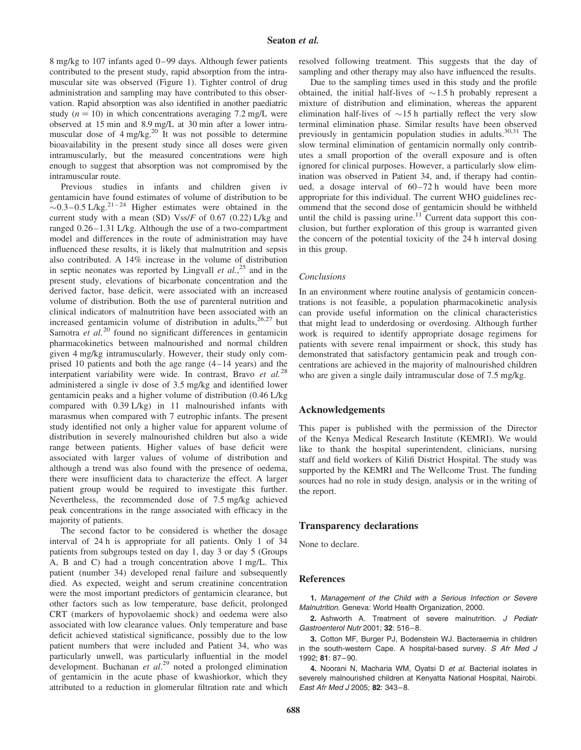8 mg/kg to 107 infants aged 0– 99 days. Although fewer patients contributed to the present study, rapid absorption from the intramuscular site was observed (Figure 1). Tighter control of drug administration and sampling may have contributed to this observation. Rapid absorption was also identified in another paediatric study ( $n = 10$ ) in which concentrations averaging 7.2 mg/L were observed at 15 min and 8.9 mg/L at 30 min after a lower intramuscular dose of  $4 \text{ mg/kg}^{20}$  It was not possible to determine bioavailability in the present study since all doses were given intramuscularly, but the measured concentrations were high enough to suggest that absorption was not compromised by the intramuscular route.

Previous studies in infants and children given iv gentamicin have found estimates of volume of distribution to be  $\sim$ 0.3–0.5 L/kg.<sup>21–24</sup> Higher estimates were obtained in the current study with a mean (SD) Vss/F of  $0.67$  (0.22) L/kg and ranged 0.26–1.31 L/kg. Although the use of a two-compartment model and differences in the route of administration may have influenced these results, it is likely that malnutrition and sepsis also contributed. A 14% increase in the volume of distribution in septic neonates was reported by Lingvall *et al.*,<sup>25</sup> and in the present study, elevations of bicarbonate concentration and the derived factor, base deficit, were associated with an increased volume of distribution. Both the use of parenteral nutrition and clinical indicators of malnutrition have been associated with an increased gentamicin volume of distribution in adults,  $26.27$  but Samotra  $e\tilde{t}$  al.<sup>20</sup> found no significant differences in gentamicin pharmacokinetics between malnourished and normal children given 4 mg/kg intramuscularly. However, their study only comprised 10 patients and both the age range (4– 14 years) and the interpatient variability were wide. In contrast, Bravo et al.<sup>28</sup> administered a single iv dose of 3.5 mg/kg and identified lower gentamicin peaks and a higher volume of distribution (0.46 L/kg compared with 0.39 L/kg) in 11 malnourished infants with marasmus when compared with 7 eutrophic infants. The present study identified not only a higher value for apparent volume of distribution in severely malnourished children but also a wide range between patients. Higher values of base deficit were associated with larger values of volume of distribution and although a trend was also found with the presence of oedema, there were insufficient data to characterize the effect. A larger patient group would be required to investigate this further. Nevertheless, the recommended dose of 7.5 mg/kg achieved peak concentrations in the range associated with efficacy in the majority of patients.

The second factor to be considered is whether the dosage interval of 24 h is appropriate for all patients. Only 1 of 34 patients from subgroups tested on day 1, day 3 or day 5 (Groups A, B and C) had a trough concentration above 1 mg/L. This patient (number 34) developed renal failure and subsequently died. As expected, weight and serum creatinine concentration were the most important predictors of gentamicin clearance, but other factors such as low temperature, base deficit, prolonged CRT (markers of hypovolaemic shock) and oedema were also associated with low clearance values. Only temperature and base deficit achieved statistical significance, possibly due to the low patient numbers that were included and Patient 34, who was particularly unwell, was particularly influential in the model development. Buchanan et  $al.^{29}$  noted a prolonged elimination of gentamicin in the acute phase of kwashiorkor, which they attributed to a reduction in glomerular filtration rate and which resolved following treatment. This suggests that the day of sampling and other therapy may also have influenced the results.

Due to the sampling times used in this study and the profile obtained, the initial half-lives of  $\sim$ 1.5 h probably represent a mixture of distribution and elimination, whereas the apparent elimination half-lives of  $\sim$ 15 h partially reflect the very slow terminal elimination phase. Similar results have been observed previously in gentamicin population studies in adults.<sup>30,31</sup> The slow terminal elimination of gentamicin normally only contributes a small proportion of the overall exposure and is often ignored for clinical purposes. However, a particularly slow elimination was observed in Patient 34, and, if therapy had continued, a dosage interval of  $60-72$  h would have been more appropriate for this individual. The current WHO guidelines recommend that the second dose of gentamicin should be withheld until the child is passing urine.<sup>11</sup> Current data support this conclusion, but further exploration of this group is warranted given the concern of the potential toxicity of the 24 h interval dosing in this group.

#### Conclusions

In an environment where routine analysis of gentamicin concentrations is not feasible, a population pharmacokinetic analysis can provide useful information on the clinical characteristics that might lead to underdosing or overdosing. Although further work is required to identify appropriate dosage regimens for patients with severe renal impairment or shock, this study has demonstrated that satisfactory gentamicin peak and trough concentrations are achieved in the majority of malnourished children who are given a single daily intramuscular dose of 7.5 mg/kg.

# Acknowledgements

This paper is published with the permission of the Director of the Kenya Medical Research Institute (KEMRI). We would like to thank the hospital superintendent, clinicians, nursing staff and field workers of Kilifi District Hospital. The study was supported by the KEMRI and The Wellcome Trust. The funding sources had no role in study design, analysis or in the writing of the report.

#### Transparency declarations

None to declare.

# References

1. Management of the Child with a Serious Infection or Severe Malnutrition. Geneva: World Health Organization, 2000.

2. Ashworth A. Treatment of severe malnutrition. J Pediatr Gastroenterol Nutr 2001; 32: 516–8.

3. Cotton MF, Burger PJ, Bodenstein WJ. Bacteraemia in children in the south-western Cape. A hospital-based survey. S Afr Med J 1992; 81: 87–90.

4. Noorani N, Macharia WM, Oyatsi D et al. Bacterial isolates in severely malnourished children at Kenyatta National Hospital, Nairobi. East Afr Med J 2005; 82: 343–8.